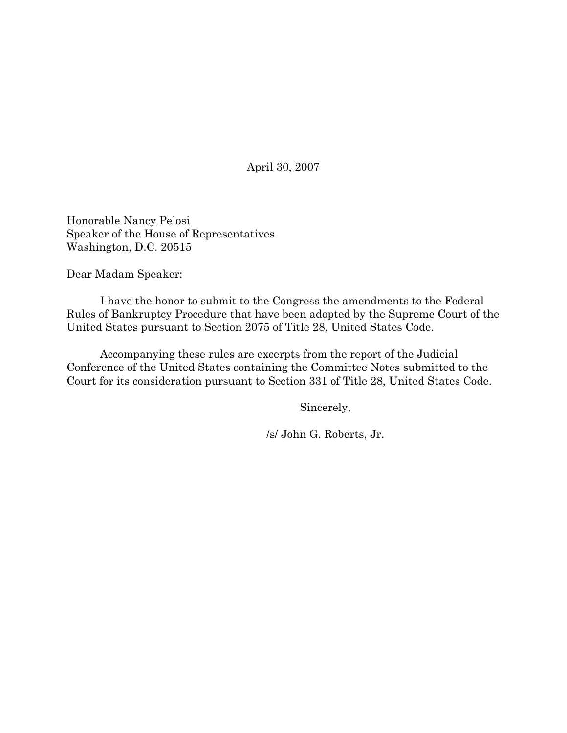April 30, 2007

Honorable Nancy Pelosi Speaker of the House of Representatives Washington, D.C. 20515

Dear Madam Speaker:

I have the honor to submit to the Congress the amendments to the Federal Rules of Bankruptcy Procedure that have been adopted by the Supreme Court of the United States pursuant to Section 2075 of Title 28, United States Code.

Accompanying these rules are excerpts from the report of the Judicial Conference of the United States containing the Committee Notes submitted to the Court for its consideration pursuant to Section 331 of Title 28, United States Code.

Sincerely,

/s/ John G. Roberts, Jr.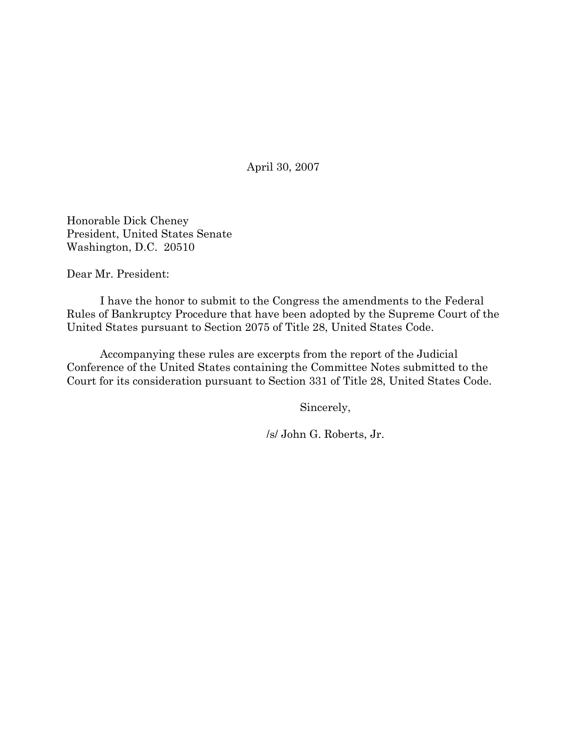April 30, 2007

Honorable Dick Cheney President, United States Senate Washington, D.C. 20510

Dear Mr. President:

I have the honor to submit to the Congress the amendments to the Federal Rules of Bankruptcy Procedure that have been adopted by the Supreme Court of the United States pursuant to Section 2075 of Title 28, United States Code.

Accompanying these rules are excerpts from the report of the Judicial Conference of the United States containing the Committee Notes submitted to the Court for its consideration pursuant to Section 331 of Title 28, United States Code.

Sincerely,

/s/ John G. Roberts, Jr.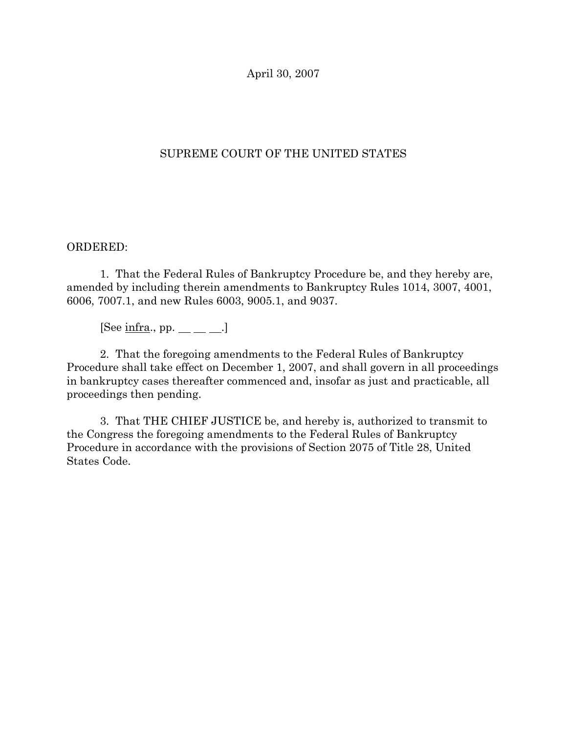April 30, 2007

# SUPREME COURT OF THE UNITED STATES

#### ORDERED:

1. That the Federal Rules of Bankruptcy Procedure be, and they hereby are, amended by including therein amendments to Bankruptcy Rules 1014, 3007, 4001, 6006, 7007.1, and new Rules 6003, 9005.1, and 9037.

 $[See infra., pp. __ __.]$ 

2. That the foregoing amendments to the Federal Rules of Bankruptcy Procedure shall take effect on December 1, 2007, and shall govern in all proceedings in bankruptcy cases thereafter commenced and, insofar as just and practicable, all proceedings then pending.

3. That THE CHIEF JUSTICE be, and hereby is, authorized to transmit to the Congress the foregoing amendments to the Federal Rules of Bankruptcy Procedure in accordance with the provisions of Section 2075 of Title 28, United States Code.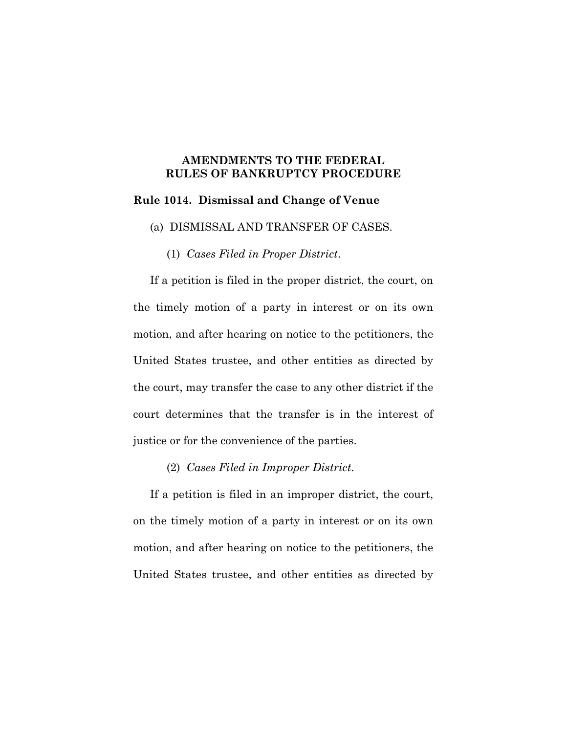# **AMENDMENTS TO THE FEDERAL RULES OF BANKRUPTCY PROCEDURE**

### **Rule 1014. Dismissal and Change of Venue**

#### (a) DISMISSAL AND TRANSFER OF CASES.

(1) *Cases Filed in Proper District*.

If a petition is filed in the proper district, the court, on the timely motion of a party in interest or on its own motion, and after hearing on notice to the petitioners, the United States trustee, and other entities as directed by the court, may transfer the case to any other district if the court determines that the transfer is in the interest of justice or for the convenience of the parties.

(2) *Cases Filed in Improper District*.

If a petition is filed in an improper district, the court, on the timely motion of a party in interest or on its own motion, and after hearing on notice to the petitioners, the United States trustee, and other entities as directed by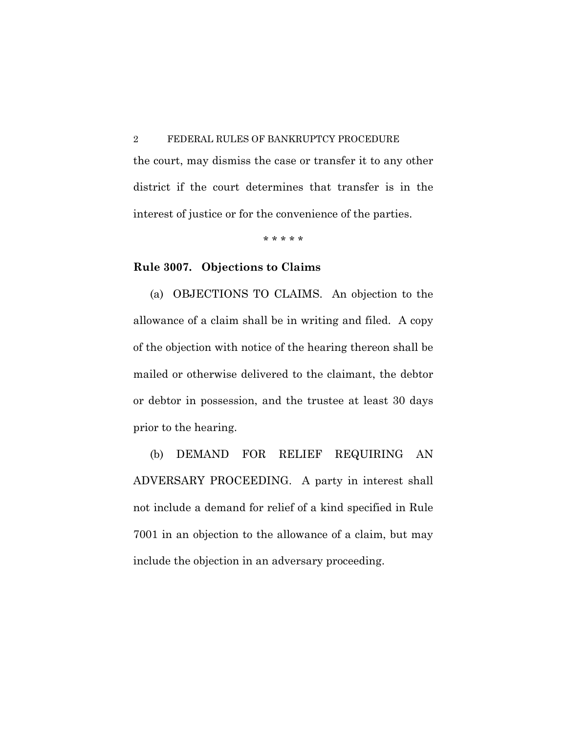the court, may dismiss the case or transfer it to any other district if the court determines that transfer is in the interest of justice or for the convenience of the parties.

\* \* \* \* \*

#### **Rule 3007. Objections to Claims**

(a) OBJECTIONS TO CLAIMS. An objection to the allowance of a claim shall be in writing and filed. A copy of the objection with notice of the hearing thereon shall be mailed or otherwise delivered to the claimant, the debtor or debtor in possession, and the trustee at least 30 days prior to the hearing.

(b) DEMAND FOR RELIEF REQUIRING AN ADVERSARY PROCEEDING. A party in interest shall not include a demand for relief of a kind specified in Rule 7001 in an objection to the allowance of a claim, but may include the objection in an adversary proceeding.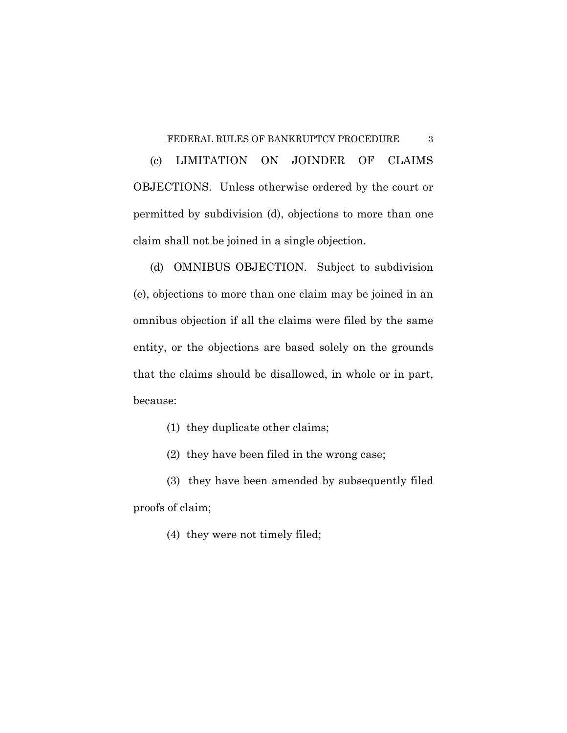(c) LIMITATION ON JOINDER OF CLAIMS OBJECTIONS. Unless otherwise ordered by the court or permitted by subdivision (d), objections to more than one claim shall not be joined in a single objection.

(d) OMNIBUS OBJECTION. Subject to subdivision (e), objections to more than one claim may be joined in an omnibus objection if all the claims were filed by the same entity, or the objections are based solely on the grounds that the claims should be disallowed, in whole or in part, because:

(1) they duplicate other claims;

(2) they have been filed in the wrong case;

(3) they have been amended by subsequently filed proofs of claim;

(4) they were not timely filed;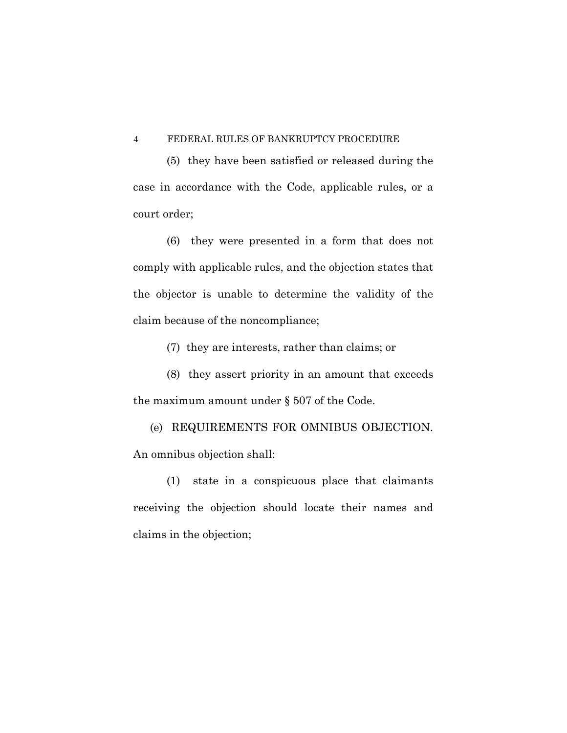(5) they have been satisfied or released during the case in accordance with the Code, applicable rules, or a court order;

(6) they were presented in a form that does not comply with applicable rules, and the objection states that the objector is unable to determine the validity of the claim because of the noncompliance;

(7) they are interests, rather than claims; or

(8) they assert priority in an amount that exceeds the maximum amount under § 507 of the Code.

(e) REQUIREMENTS FOR OMNIBUS OBJECTION. An omnibus objection shall:

(1) state in a conspicuous place that claimants receiving the objection should locate their names and claims in the objection;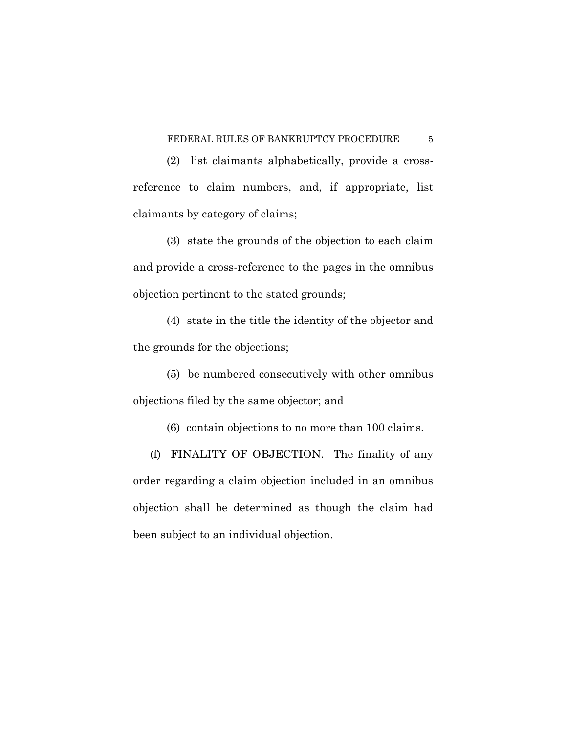(2) list claimants alphabetically, provide a crossreference to claim numbers, and, if appropriate, list claimants by category of claims;

(3) state the grounds of the objection to each claim and provide a cross-reference to the pages in the omnibus objection pertinent to the stated grounds;

(4) state in the title the identity of the objector and the grounds for the objections;

(5) be numbered consecutively with other omnibus objections filed by the same objector; and

(6) contain objections to no more than 100 claims.

(f) FINALITY OF OBJECTION. The finality of any order regarding a claim objection included in an omnibus objection shall be determined as though the claim had been subject to an individual objection.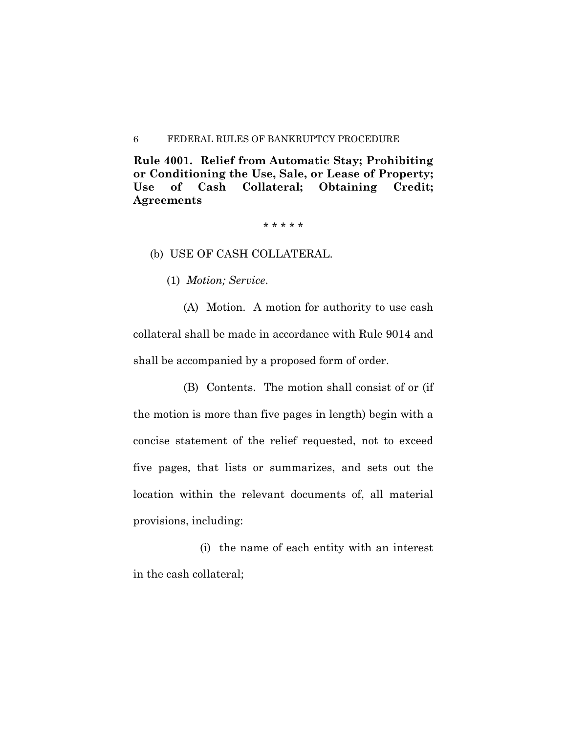**Rule 4001. Relief from Automatic Stay; Prohibiting or Conditioning the Use, Sale, or Lease of Property; Use of Cash Collateral; Obtaining Credit; Agreements** 

\* \* \* \* \*

(b) USE OF CASH COLLATERAL.

(1) *Motion; Service*.

(A) Motion. A motion for authority to use cash collateral shall be made in accordance with Rule 9014 and shall be accompanied by a proposed form of order.

(B) Contents. The motion shall consist of or (if the motion is more than five pages in length) begin with a concise statement of the relief requested, not to exceed five pages, that lists or summarizes, and sets out the location within the relevant documents of, all material provisions, including:

(i) the name of each entity with an interest in the cash collateral;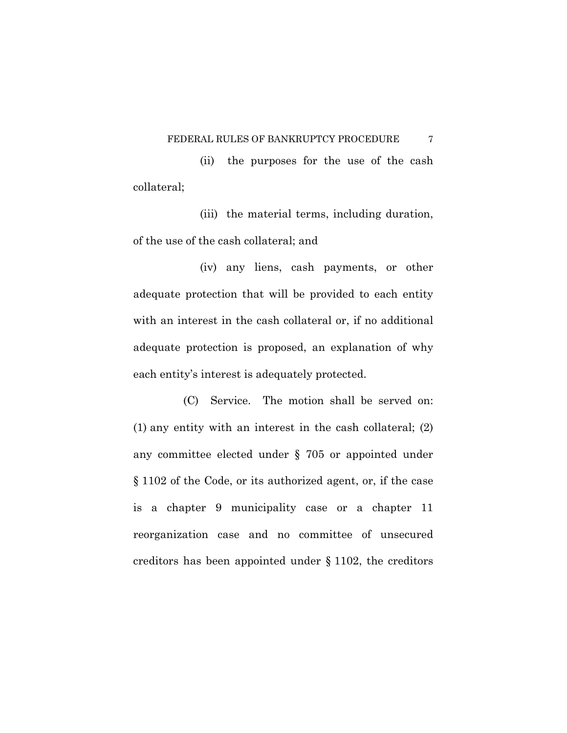(ii) the purposes for the use of the cash collateral;

(iii) the material terms, including duration, of the use of the cash collateral; and

(iv) any liens, cash payments, or other adequate protection that will be provided to each entity with an interest in the cash collateral or, if no additional adequate protection is proposed, an explanation of why each entity's interest is adequately protected.

(C) Service. The motion shall be served on: (1) any entity with an interest in the cash collateral; (2) any committee elected under § 705 or appointed under § 1102 of the Code, or its authorized agent, or, if the case is a chapter 9 municipality case or a chapter 11 reorganization case and no committee of unsecured creditors has been appointed under § 1102, the creditors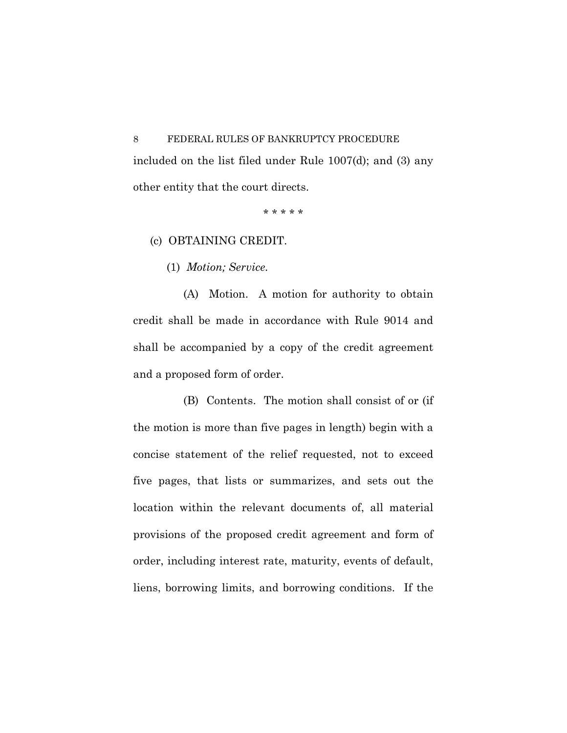8 FEDERAL RULES OF BANKRUPTCY PROCEDURE included on the list filed under Rule 1007(d); and (3) any other entity that the court directs.

\* \* \* \* \*

(c) OBTAINING CREDIT.

(1) *Motion; Service.* 

(A) Motion. A motion for authority to obtain credit shall be made in accordance with Rule 9014 and shall be accompanied by a copy of the credit agreement and a proposed form of order.

(B) Contents. The motion shall consist of or (if the motion is more than five pages in length) begin with a concise statement of the relief requested, not to exceed five pages, that lists or summarizes, and sets out the location within the relevant documents of, all material provisions of the proposed credit agreement and form of order, including interest rate, maturity, events of default, liens, borrowing limits, and borrowing conditions. If the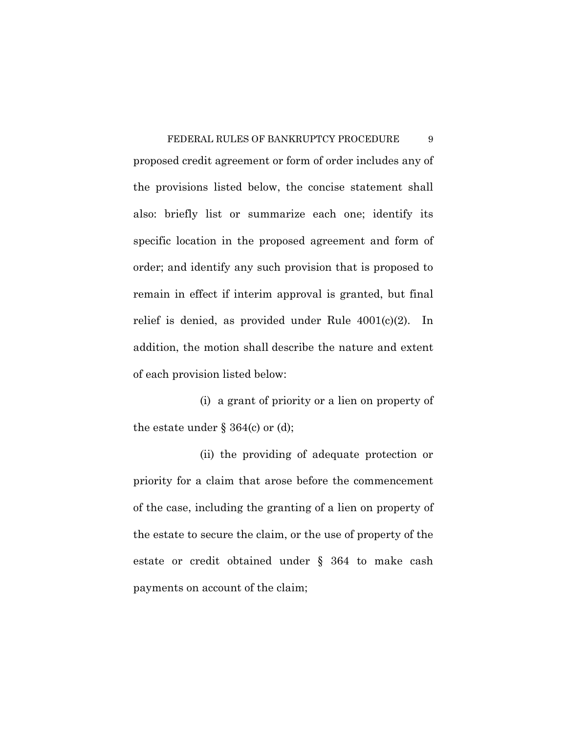FEDERAL RULES OF BANKRUPTCY PROCEDURE 9 proposed credit agreement or form of order includes any of the provisions listed below, the concise statement shall also: briefly list or summarize each one; identify its specific location in the proposed agreement and form of order; and identify any such provision that is proposed to remain in effect if interim approval is granted, but final relief is denied, as provided under Rule 4001(c)(2). In addition, the motion shall describe the nature and extent of each provision listed below:

(i) a grant of priority or a lien on property of the estate under  $\S 364(c)$  or (d);

(ii) the providing of adequate protection or priority for a claim that arose before the commencement of the case, including the granting of a lien on property of the estate to secure the claim, or the use of property of the estate or credit obtained under § 364 to make cash payments on account of the claim;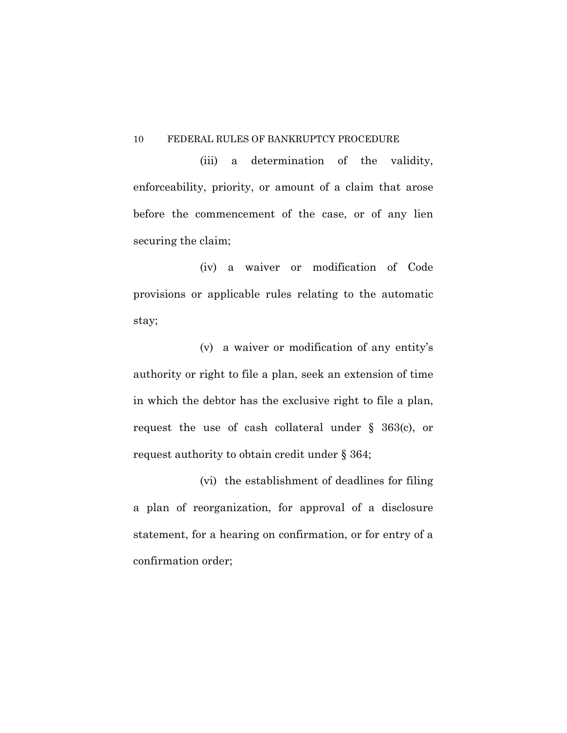(iii) a determination of the validity, enforceability, priority, or amount of a claim that arose before the commencement of the case, or of any lien securing the claim;

(iv) a waiver or modification of Code provisions or applicable rules relating to the automatic stay;

(v) a waiver or modification of any entity's authority or right to file a plan, seek an extension of time in which the debtor has the exclusive right to file a plan, request the use of cash collateral under § 363(c), or request authority to obtain credit under § 364;

(vi) the establishment of deadlines for filing a plan of reorganization, for approval of a disclosure statement, for a hearing on confirmation, or for entry of a confirmation order;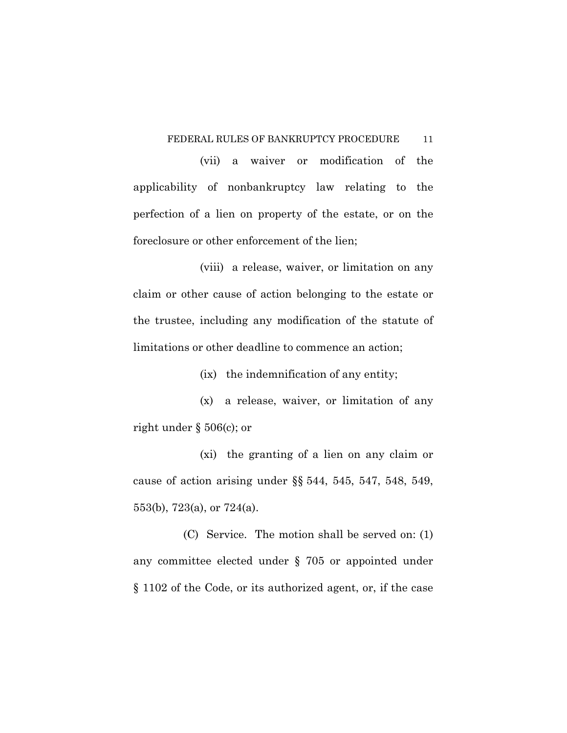(vii) a waiver or modification of the applicability of nonbankruptcy law relating to the perfection of a lien on property of the estate, or on the foreclosure or other enforcement of the lien;

(viii) a release, waiver, or limitation on any claim or other cause of action belonging to the estate or the trustee, including any modification of the statute of limitations or other deadline to commence an action;

(ix) the indemnification of any entity;

(x) a release, waiver, or limitation of any right under § 506(c); or

(xi) the granting of a lien on any claim or cause of action arising under §§ 544, 545, 547, 548, 549, 553(b), 723(a), or 724(a).

(C) Service. The motion shall be served on: (1) any committee elected under § 705 or appointed under § 1102 of the Code, or its authorized agent, or, if the case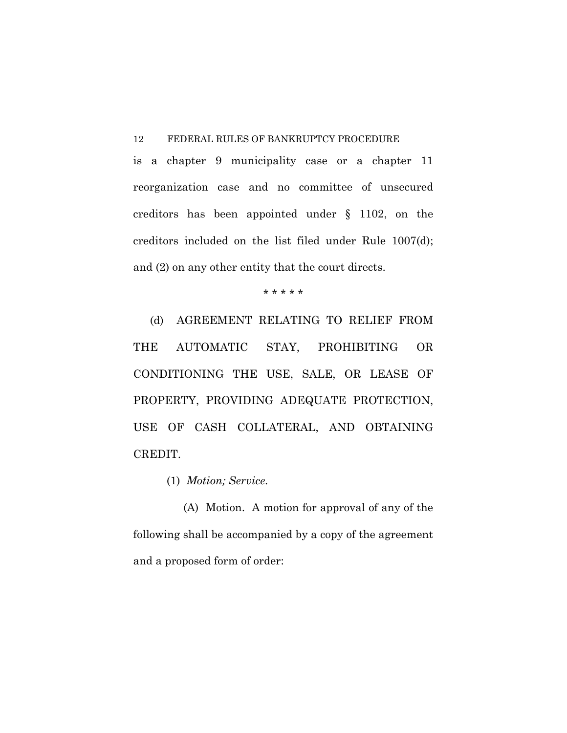is a chapter 9 municipality case or a chapter 11 reorganization case and no committee of unsecured creditors has been appointed under § 1102, on the creditors included on the list filed under Rule 1007(d); and (2) on any other entity that the court directs.

\* \* \* \* \*

(d) AGREEMENT RELATING TO RELIEF FROM THE AUTOMATIC STAY, PROHIBITING OR CONDITIONING THE USE, SALE, OR LEASE OF PROPERTY, PROVIDING ADEQUATE PROTECTION, USE OF CASH COLLATERAL, AND OBTAINING CREDIT.

(1) *Motion; Service.* 

(A) Motion. A motion for approval of any of the following shall be accompanied by a copy of the agreement and a proposed form of order: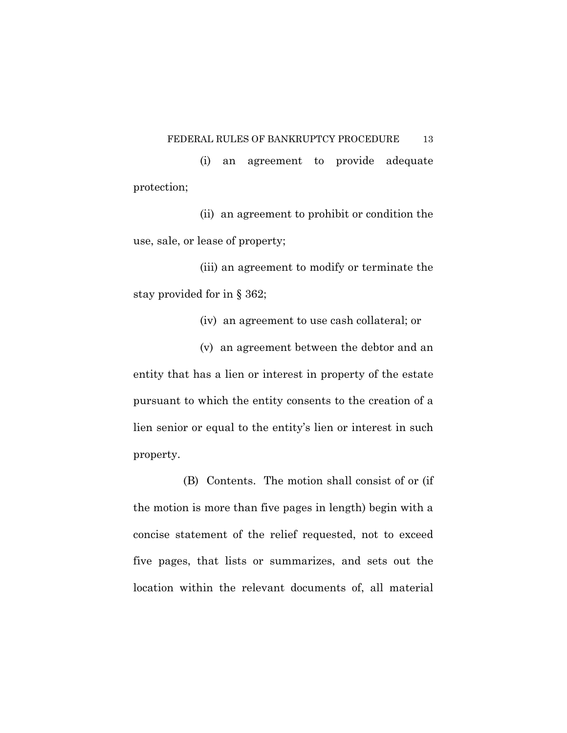(i) an agreement to provide adequate protection;

(ii) an agreement to prohibit or condition the use, sale, or lease of property;

(iii) an agreement to modify or terminate the stay provided for in § 362;

(iv) an agreement to use cash collateral; or

(v) an agreement between the debtor and an entity that has a lien or interest in property of the estate pursuant to which the entity consents to the creation of a lien senior or equal to the entity's lien or interest in such property.

(B) Contents. The motion shall consist of or (if the motion is more than five pages in length) begin with a concise statement of the relief requested, not to exceed five pages, that lists or summarizes, and sets out the location within the relevant documents of, all material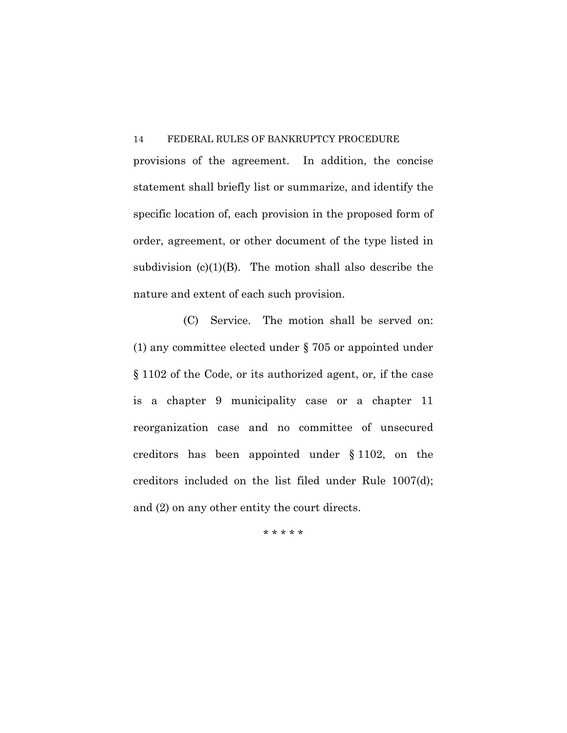provisions of the agreement. In addition, the concise statement shall briefly list or summarize, and identify the specific location of, each provision in the proposed form of order, agreement, or other document of the type listed in subdivision  $(c)(1)(B)$ . The motion shall also describe the nature and extent of each such provision.

(C) Service. The motion shall be served on: (1) any committee elected under § 705 or appointed under § 1102 of the Code, or its authorized agent, or, if the case is a chapter 9 municipality case or a chapter 11 reorganization case and no committee of unsecured creditors has been appointed under § 1102, on the creditors included on the list filed under Rule 1007(d); and (2) on any other entity the court directs.

\* \* \* \* \*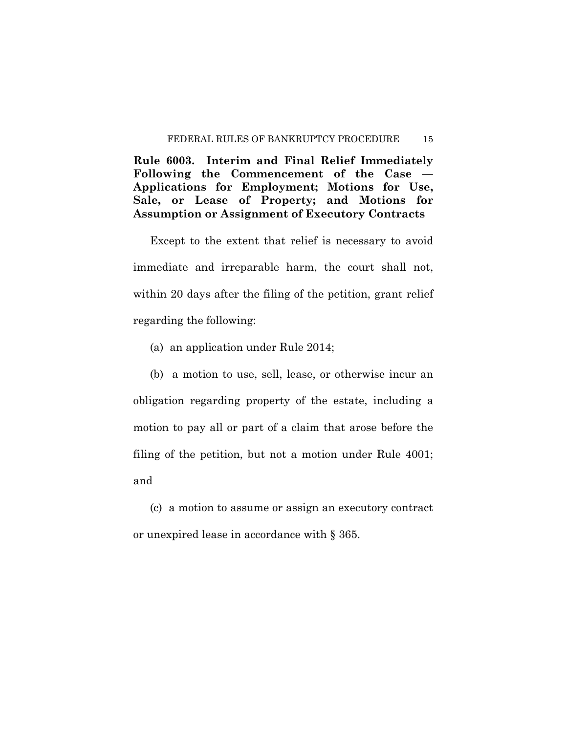**Rule 6003. Interim and Final Relief Immediately Following the Commencement of the Case — Applications for Employment; Motions for Use, Sale, or Lease of Property; and Motions for Assumption or Assignment of Executory Contracts** 

Except to the extent that relief is necessary to avoid immediate and irreparable harm, the court shall not, within 20 days after the filing of the petition, grant relief regarding the following:

(a) an application under Rule 2014;

(b) a motion to use, sell, lease, or otherwise incur an obligation regarding property of the estate, including a motion to pay all or part of a claim that arose before the filing of the petition, but not a motion under Rule 4001; and

(c) a motion to assume or assign an executory contract or unexpired lease in accordance with § 365.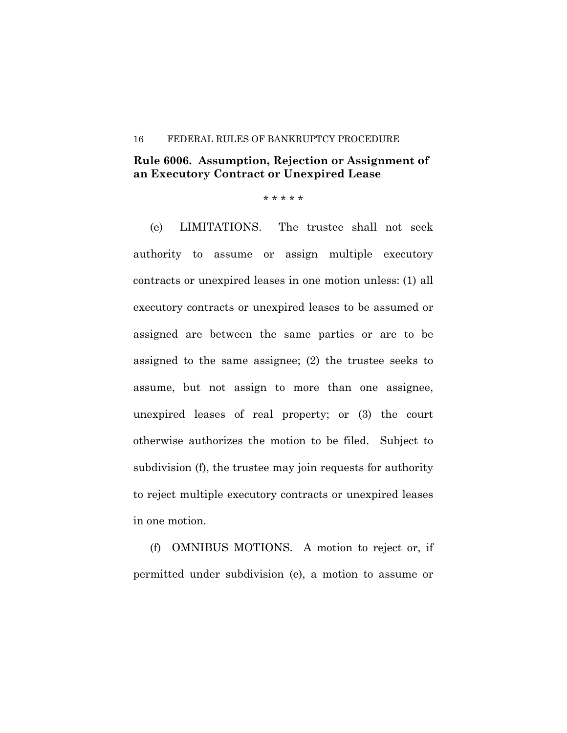# **Rule 6006. Assumption, Rejection or Assignment of an Executory Contract or Unexpired Lease**

\* \* \* \* \*

(e) LIMITATIONS. The trustee shall not seek authority to assume or assign multiple executory contracts or unexpired leases in one motion unless: (1) all executory contracts or unexpired leases to be assumed or assigned are between the same parties or are to be assigned to the same assignee; (2) the trustee seeks to assume, but not assign to more than one assignee, unexpired leases of real property; or (3) the court otherwise authorizes the motion to be filed. Subject to subdivision (f), the trustee may join requests for authority to reject multiple executory contracts or unexpired leases in one motion.

(f) OMNIBUS MOTIONS. A motion to reject or, if permitted under subdivision (e), a motion to assume or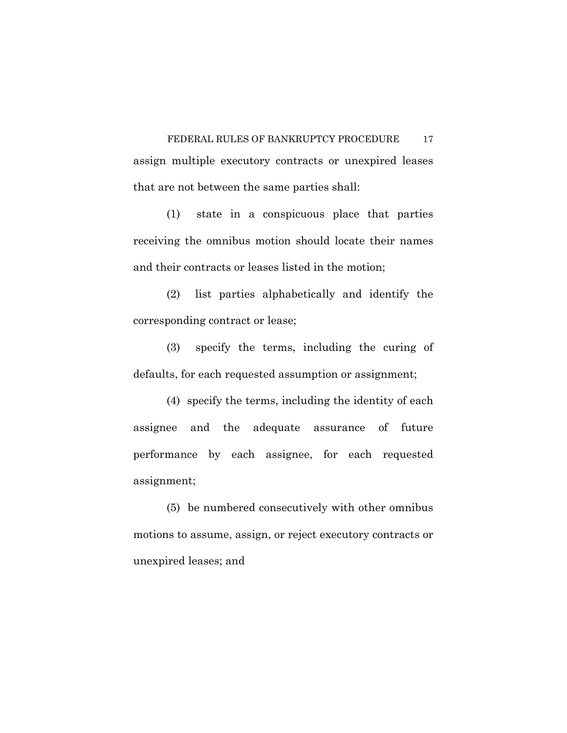FEDERAL RULES OF BANKRUPTCY PROCEDURE 17 assign multiple executory contracts or unexpired leases that are not between the same parties shall:

(1) state in a conspicuous place that parties receiving the omnibus motion should locate their names and their contracts or leases listed in the motion;

(2) list parties alphabetically and identify the corresponding contract or lease;

(3) specify the terms, including the curing of defaults, for each requested assumption or assignment;

(4) specify the terms, including the identity of each assignee and the adequate assurance of future performance by each assignee, for each requested assignment;

(5) be numbered consecutively with other omnibus motions to assume, assign, or reject executory contracts or unexpired leases; and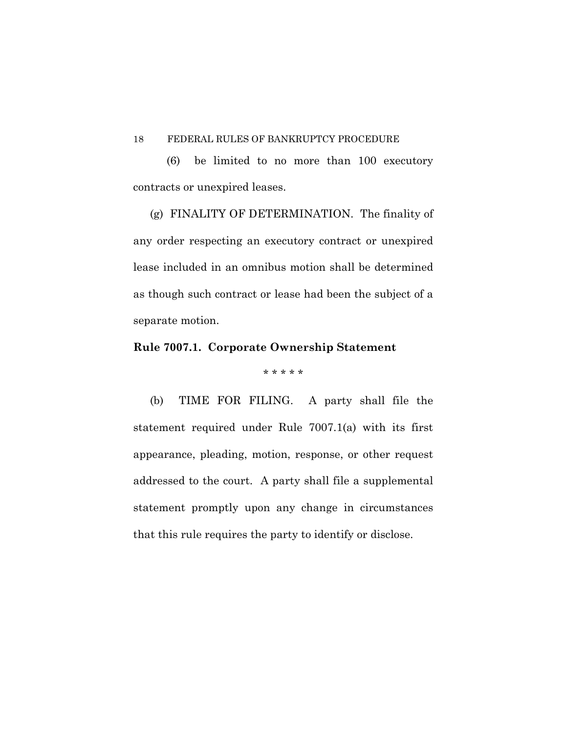(6) be limited to no more than 100 executory contracts or unexpired leases.

(g) FINALITY OF DETERMINATION. The finality of any order respecting an executory contract or unexpired lease included in an omnibus motion shall be determined as though such contract or lease had been the subject of a separate motion.

### **Rule 7007.1. Corporate Ownership Statement**

\* \* \* \* \*

(b) TIME FOR FILING. A party shall file the statement required under Rule 7007.1(a) with its first appearance, pleading, motion, response, or other request addressed to the court. A party shall file a supplemental statement promptly upon any change in circumstances that this rule requires the party to identify or disclose.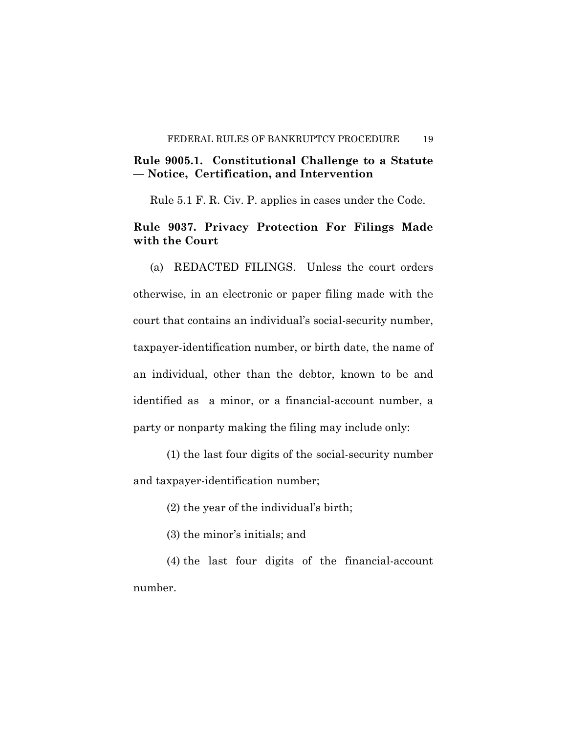# **Rule 9005.1. Constitutional Challenge to a Statute — Notice, Certification, and Intervention**

Rule 5.1 F. R. Civ. P. applies in cases under the Code.

# **Rule 9037. Privacy Protection For Filings Made with the Court**

(a) REDACTED FILINGS. Unless the court orders otherwise, in an electronic or paper filing made with the court that contains an individual's social-security number, taxpayer-identification number, or birth date, the name of an individual, other than the debtor, known to be and identified as a minor, or a financial-account number, a party or nonparty making the filing may include only:

(1) the last four digits of the social-security number and taxpayer-identification number;

(2) the year of the individual's birth;

(3) the minor's initials; and

(4) the last four digits of the financial-account number.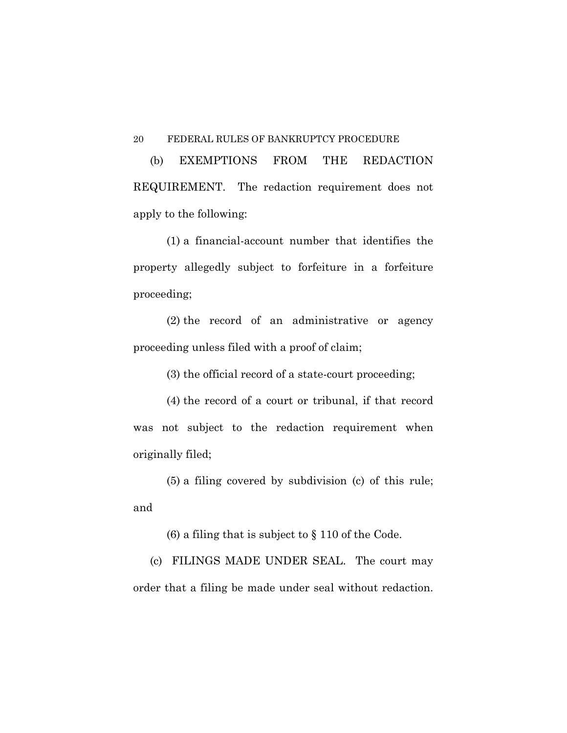(b) EXEMPTIONS FROM THE REDACTION REQUIREMENT. The redaction requirement does not apply to the following:

(1) a financial-account number that identifies the property allegedly subject to forfeiture in a forfeiture proceeding;

(2) the record of an administrative or agency proceeding unless filed with a proof of claim;

(3) the official record of a state-court proceeding;

(4) the record of a court or tribunal, if that record was not subject to the redaction requirement when originally filed;

(5) a filing covered by subdivision (c) of this rule; and

(6) a filing that is subject to § 110 of the Code.

(c) FILINGS MADE UNDER SEAL. The court may order that a filing be made under seal without redaction.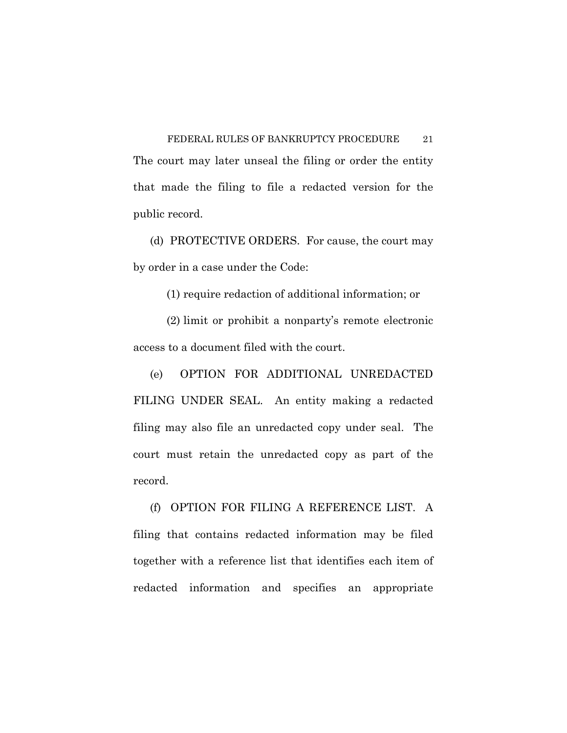The court may later unseal the filing or order the entity that made the filing to file a redacted version for the public record.

(d) PROTECTIVE ORDERS. For cause, the court may by order in a case under the Code:

(1) require redaction of additional information; or

(2) limit or prohibit a nonparty's remote electronic access to a document filed with the court.

(e) OPTION FOR ADDITIONAL UNREDACTED FILING UNDER SEAL. An entity making a redacted filing may also file an unredacted copy under seal. The court must retain the unredacted copy as part of the record.

(f) OPTION FOR FILING A REFERENCE LIST. A filing that contains redacted information may be filed together with a reference list that identifies each item of redacted information and specifies an appropriate